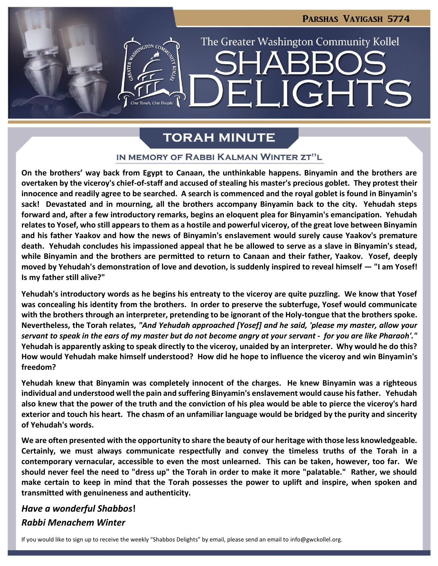**JGHTS** 

The Greater Washington Community Kollel

# **TORAH MINUTE**

#### IN MEMORY OF RABBI KALMAN WINTER ZT"L

**On the brothers' way back from Egypt to Canaan, the unthinkable happens. Binyamin and the brothers are overtaken by the viceroy's chief-of-staff and accused of stealing his master's precious goblet. They protest their innocence and readily agree to be searched. A search is commenced and the royal goblet is found in Binyamin's sack! Devastated and in mourning, all the brothers accompany Binyamin back to the city. Yehudah steps forward and, after a few introductory remarks, begins an eloquent plea for Binyamin's emancipation. Yehudah relates to Yosef, who still appears to them as a hostile and powerful viceroy, of the great love between Binyamin and his father Yaakov and how the news of Binyamin's enslavement would surely cause Yaakov's premature death. Yehudah concludes his impassioned appeal that he be allowed to serve as a slave in Binyamin's stead, while Binyamin and the brothers are permitted to return to Canaan and their father, Yaakov. Yosef, deeply moved by Yehudah's demonstration of love and devotion, is suddenly inspired to reveal himself — "I am Yosef! Is my father still alive?"** 

**Yehudah's introductory words as he begins his entreaty to the viceroy are quite puzzling. We know that Yosef was concealing his identity from the brothers. In order to preserve the subterfuge, Yosef would communicate with the brothers through an interpreter, pretending to be ignorant of the Holy-tongue that the brothers spoke. Nevertheless, the Torah relates,** *"And Yehudah approached [Yosef] and he said, 'please my master, allow your servant to speak in the ears of my master but do not become angry at your servant - for you are like Pharaoh'."* **Yehudah is apparently asking to speak directly to the viceroy, unaided by an interpreter. Why would he do this? How would Yehudah make himself understood? How did he hope to influence the viceroy and win Binyamin's freedom?**

**Yehudah knew that Binyamin was completely innocent of the charges. He knew Binyamin was a righteous individual and understood well the pain and suffering Binyamin's enslavement would cause his father. Yehudah also knew that the power of the truth and the conviction of his plea would be able to pierce the viceroy's hard exterior and touch his heart. The chasm of an unfamiliar language would be bridged by the purity and sincerity of Yehudah's words.**

**We are often presented with the opportunity to share the beauty of our heritage with those less knowledgeable. Certainly, we must always communicate respectfully and convey the timeless truths of the Torah in a contemporary vernacular, accessible to even the most unlearned. This can be taken, however, too far. We should never feel the need to "dress up" the Torah in order to make it more "palatable." Rather, we should make certain to keep in mind that the Torah possesses the power to uplift and inspire, when spoken and transmitted with genuineness and authenticity.**

# *Have a wonderful Shabbos***!** *Rabbi Menachem Winter*

If you would like to sign up to receive the weekly "Shabbos Delights" by email, please send an email to [info@gwckollel.org](mailto:info@gwckollel.org).